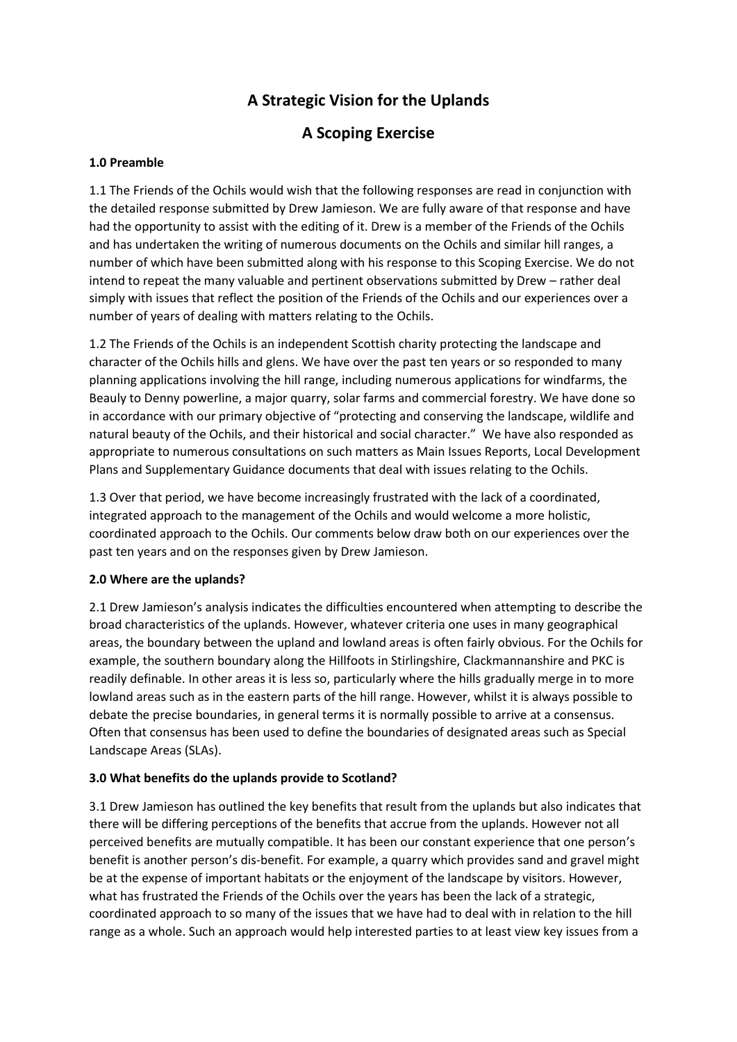# **A Strategic Vision for the Uplands**

## **A Scoping Exercise**

## **1.0 Preamble**

1.1 The Friends of the Ochils would wish that the following responses are read in conjunction with the detailed response submitted by Drew Jamieson. We are fully aware of that response and have had the opportunity to assist with the editing of it. Drew is a member of the Friends of the Ochils and has undertaken the writing of numerous documents on the Ochils and similar hill ranges, a number of which have been submitted along with his response to this Scoping Exercise. We do not intend to repeat the many valuable and pertinent observations submitted by Drew – rather deal simply with issues that reflect the position of the Friends of the Ochils and our experiences over a number of years of dealing with matters relating to the Ochils.

1.2 The Friends of the Ochils is an independent Scottish charity protecting the landscape and character of the Ochils hills and glens. We have over the past ten years or so responded to many planning applications involving the hill range, including numerous applications for windfarms, the Beauly to Denny powerline, a major quarry, solar farms and commercial forestry. We have done so in accordance with our primary objective of "protecting and conserving the landscape, wildlife and natural beauty of the Ochils, and their historical and social character." We have also responded as appropriate to numerous consultations on such matters as Main Issues Reports, Local Development Plans and Supplementary Guidance documents that deal with issues relating to the Ochils.

1.3 Over that period, we have become increasingly frustrated with the lack of a coordinated, integrated approach to the management of the Ochils and would welcome a more holistic, coordinated approach to the Ochils. Our comments below draw both on our experiences over the past ten years and on the responses given by Drew Jamieson.

#### **2.0 Where are the uplands?**

2.1 Drew Jamieson's analysis indicates the difficulties encountered when attempting to describe the broad characteristics of the uplands. However, whatever criteria one uses in many geographical areas, the boundary between the upland and lowland areas is often fairly obvious. For the Ochils for example, the southern boundary along the Hillfoots in Stirlingshire, Clackmannanshire and PKC is readily definable. In other areas it is less so, particularly where the hills gradually merge in to more lowland areas such as in the eastern parts of the hill range. However, whilst it is always possible to debate the precise boundaries, in general terms it is normally possible to arrive at a consensus. Often that consensus has been used to define the boundaries of designated areas such as Special Landscape Areas (SLAs).

## **3.0 What benefits do the uplands provide to Scotland?**

3.1 Drew Jamieson has outlined the key benefits that result from the uplands but also indicates that there will be differing perceptions of the benefits that accrue from the uplands. However not all perceived benefits are mutually compatible. It has been our constant experience that one person's benefit is another person's dis-benefit. For example, a quarry which provides sand and gravel might be at the expense of important habitats or the enjoyment of the landscape by visitors. However, what has frustrated the Friends of the Ochils over the years has been the lack of a strategic, coordinated approach to so many of the issues that we have had to deal with in relation to the hill range as a whole. Such an approach would help interested parties to at least view key issues from a